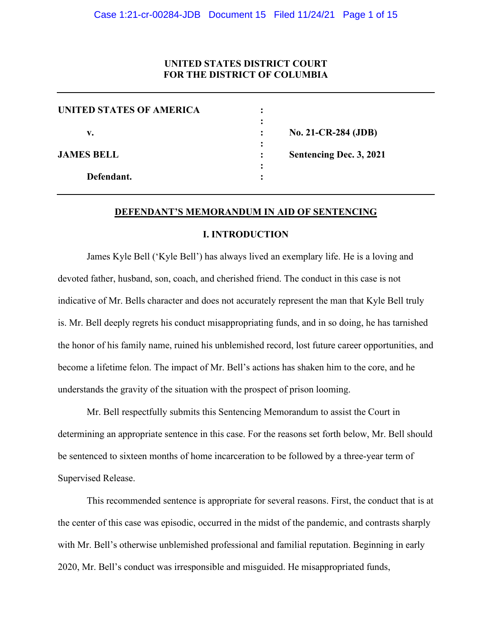# **UNITED STATES DISTRICT COURT FOR THE DISTRICT OF COLUMBIA**

| No. 21-CR-284 (JDB)     |
|-------------------------|
|                         |
| Sentencing Dec. 3, 2021 |
|                         |
|                         |
|                         |

#### **DEFENDANT'S MEMORANDUM IN AID OF SENTENCING**

## **I. INTRODUCTION**

James Kyle Bell ('Kyle Bell') has always lived an exemplary life. He is a loving and devoted father, husband, son, coach, and cherished friend. The conduct in this case is not indicative of Mr. Bells character and does not accurately represent the man that Kyle Bell truly is. Mr. Bell deeply regrets his conduct misappropriating funds, and in so doing, he has tarnished the honor of his family name, ruined his unblemished record, lost future career opportunities, and become a lifetime felon. The impact of Mr. Bell's actions has shaken him to the core, and he understands the gravity of the situation with the prospect of prison looming.

Mr. Bell respectfully submits this Sentencing Memorandum to assist the Court in determining an appropriate sentence in this case. For the reasons set forth below, Mr. Bell should be sentenced to sixteen months of home incarceration to be followed by a three-year term of Supervised Release.

This recommended sentence is appropriate for several reasons. First, the conduct that is at the center of this case was episodic, occurred in the midst of the pandemic, and contrasts sharply with Mr. Bell's otherwise unblemished professional and familial reputation. Beginning in early 2020, Mr. Bell's conduct was irresponsible and misguided. He misappropriated funds,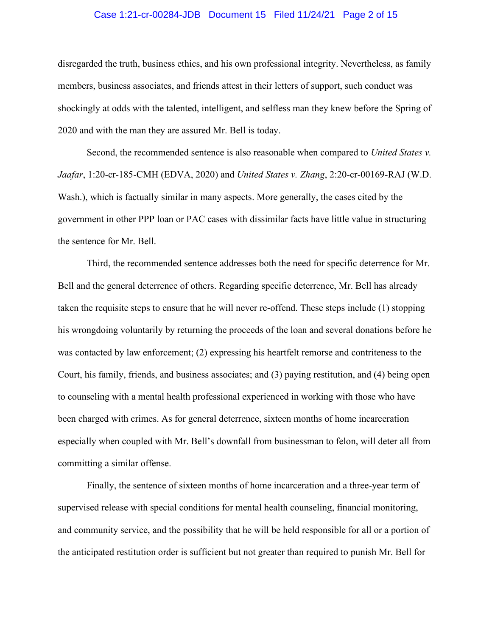#### Case 1:21-cr-00284-JDB Document 15 Filed 11/24/21 Page 2 of 15

disregarded the truth, business ethics, and his own professional integrity. Nevertheless, as family members, business associates, and friends attest in their letters of support, such conduct was shockingly at odds with the talented, intelligent, and selfless man they knew before the Spring of 2020 and with the man they are assured Mr. Bell is today.

Second, the recommended sentence is also reasonable when compared to *United States v. Jaafar*, 1:20-cr-185-CMH (EDVA, 2020) and *United States v. Zhang*, 2:20-cr-00169-RAJ (W.D. Wash.), which is factually similar in many aspects. More generally, the cases cited by the government in other PPP loan or PAC cases with dissimilar facts have little value in structuring the sentence for Mr. Bell.

Third, the recommended sentence addresses both the need for specific deterrence for Mr. Bell and the general deterrence of others. Regarding specific deterrence, Mr. Bell has already taken the requisite steps to ensure that he will never re-offend. These steps include (1) stopping his wrongdoing voluntarily by returning the proceeds of the loan and several donations before he was contacted by law enforcement; (2) expressing his heartfelt remorse and contriteness to the Court, his family, friends, and business associates; and (3) paying restitution, and (4) being open to counseling with a mental health professional experienced in working with those who have been charged with crimes. As for general deterrence, sixteen months of home incarceration especially when coupled with Mr. Bell's downfall from businessman to felon, will deter all from committing a similar offense.

Finally, the sentence of sixteen months of home incarceration and a three-year term of supervised release with special conditions for mental health counseling, financial monitoring, and community service, and the possibility that he will be held responsible for all or a portion of the anticipated restitution order is sufficient but not greater than required to punish Mr. Bell for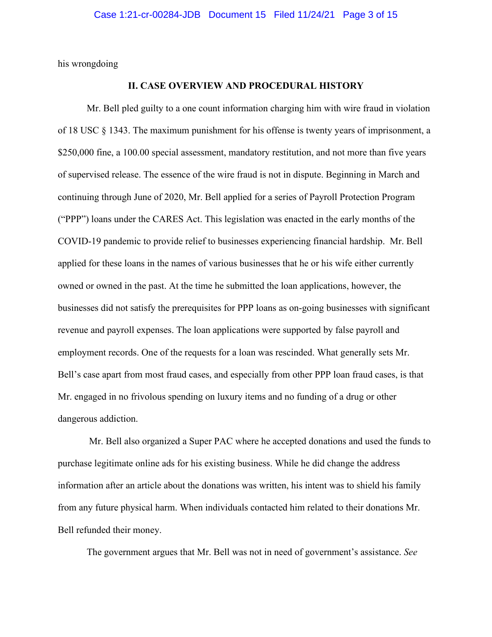his wrongdoing

## **II. CASE OVERVIEW AND PROCEDURAL HISTORY**

Mr. Bell pled guilty to a one count information charging him with wire fraud in violation of 18 USC § 1343. The maximum punishment for his offense is twenty years of imprisonment, a \$250,000 fine, a 100.00 special assessment, mandatory restitution, and not more than five years of supervised release. The essence of the wire fraud is not in dispute. Beginning in March and continuing through June of 2020, Mr. Bell applied for a series of Payroll Protection Program ("PPP") loans under the CARES Act. This legislation was enacted in the early months of the COVID-19 pandemic to provide relief to businesses experiencing financial hardship. Mr. Bell applied for these loans in the names of various businesses that he or his wife either currently owned or owned in the past. At the time he submitted the loan applications, however, the businesses did not satisfy the prerequisites for PPP loans as on-going businesses with significant revenue and payroll expenses. The loan applications were supported by false payroll and employment records. One of the requests for a loan was rescinded. What generally sets Mr. Bell's case apart from most fraud cases, and especially from other PPP loan fraud cases, is that Mr. engaged in no frivolous spending on luxury items and no funding of a drug or other dangerous addiction.

Mr. Bell also organized a Super PAC where he accepted donations and used the funds to purchase legitimate online ads for his existing business. While he did change the address information after an article about the donations was written, his intent was to shield his family from any future physical harm. When individuals contacted him related to their donations Mr. Bell refunded their money.

The government argues that Mr. Bell was not in need of government's assistance. *See*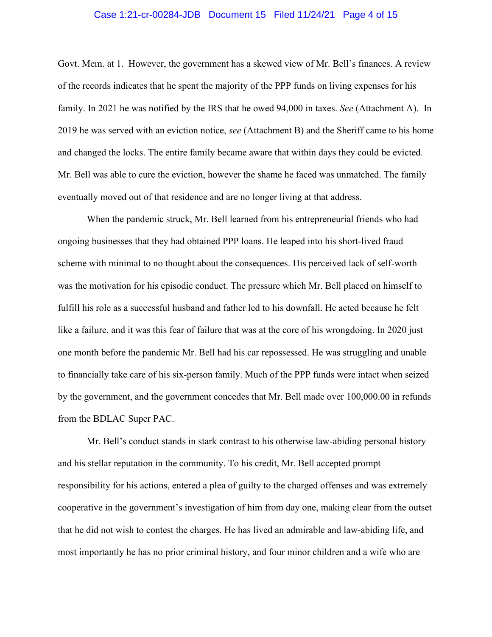#### Case 1:21-cr-00284-JDB Document 15 Filed 11/24/21 Page 4 of 15

Govt. Mem. at 1. However, the government has a skewed view of Mr. Bell's finances. A review of the records indicates that he spent the majority of the PPP funds on living expenses for his family. In 2021 he was notified by the IRS that he owed 94,000 in taxes. *See* (Attachment A). In 2019 he was served with an eviction notice, *see* (Attachment B) and the Sheriff came to his home and changed the locks. The entire family became aware that within days they could be evicted. Mr. Bell was able to cure the eviction, however the shame he faced was unmatched. The family eventually moved out of that residence and are no longer living at that address.

When the pandemic struck, Mr. Bell learned from his entrepreneurial friends who had ongoing businesses that they had obtained PPP loans. He leaped into his short-lived fraud scheme with minimal to no thought about the consequences. His perceived lack of self-worth was the motivation for his episodic conduct. The pressure which Mr. Bell placed on himself to fulfill his role as a successful husband and father led to his downfall. He acted because he felt like a failure, and it was this fear of failure that was at the core of his wrongdoing. In 2020 just one month before the pandemic Mr. Bell had his car repossessed. He was struggling and unable to financially take care of his six-person family. Much of the PPP funds were intact when seized by the government, and the government concedes that Mr. Bell made over 100,000.00 in refunds from the BDLAC Super PAC.

Mr. Bell's conduct stands in stark contrast to his otherwise law-abiding personal history and his stellar reputation in the community. To his credit, Mr. Bell accepted prompt responsibility for his actions, entered a plea of guilty to the charged offenses and was extremely cooperative in the government's investigation of him from day one, making clear from the outset that he did not wish to contest the charges. He has lived an admirable and law-abiding life, and most importantly he has no prior criminal history, and four minor children and a wife who are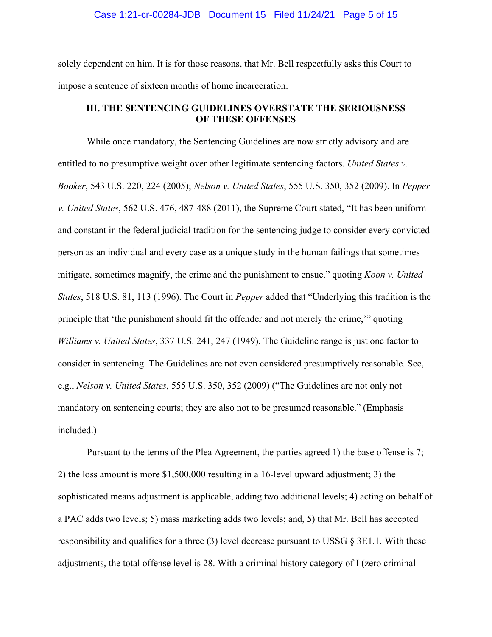#### Case 1:21-cr-00284-JDB Document 15 Filed 11/24/21 Page 5 of 15

solely dependent on him. It is for those reasons, that Mr. Bell respectfully asks this Court to impose a sentence of sixteen months of home incarceration.

# **III. THE SENTENCING GUIDELINES OVERSTATE THE SERIOUSNESS OF THESE OFFENSES**

While once mandatory, the Sentencing Guidelines are now strictly advisory and are entitled to no presumptive weight over other legitimate sentencing factors. *United States v. Booker*, 543 U.S. 220, 224 (2005); *Nelson v. United States*, 555 U.S. 350, 352 (2009). In *Pepper v. United States*, 562 U.S. 476, 487-488 (2011), the Supreme Court stated, "It has been uniform and constant in the federal judicial tradition for the sentencing judge to consider every convicted person as an individual and every case as a unique study in the human failings that sometimes mitigate, sometimes magnify, the crime and the punishment to ensue." quoting *Koon v. United States*, 518 U.S. 81, 113 (1996). The Court in *Pepper* added that "Underlying this tradition is the principle that 'the punishment should fit the offender and not merely the crime,'" quoting *Williams v. United States*, 337 U.S. 241, 247 (1949). The Guideline range is just one factor to consider in sentencing. The Guidelines are not even considered presumptively reasonable. See, e.g., *Nelson v. United States*, 555 U.S. 350, 352 (2009) ("The Guidelines are not only not mandatory on sentencing courts; they are also not to be presumed reasonable." (Emphasis included.)

Pursuant to the terms of the Plea Agreement, the parties agreed 1) the base offense is 7; 2) the loss amount is more \$1,500,000 resulting in a 16-level upward adjustment; 3) the sophisticated means adjustment is applicable, adding two additional levels; 4) acting on behalf of a PAC adds two levels; 5) mass marketing adds two levels; and, 5) that Mr. Bell has accepted responsibility and qualifies for a three (3) level decrease pursuant to USSG  $\S 3E1.1$ . With these adjustments, the total offense level is 28. With a criminal history category of I (zero criminal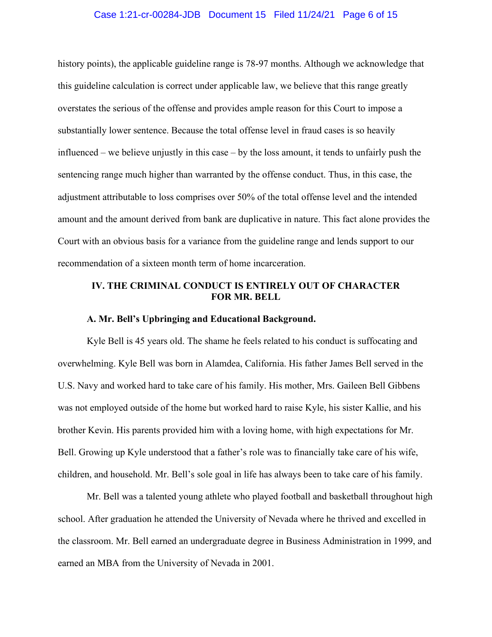#### Case 1:21-cr-00284-JDB Document 15 Filed 11/24/21 Page 6 of 15

history points), the applicable guideline range is 78-97 months. Although we acknowledge that this guideline calculation is correct under applicable law, we believe that this range greatly overstates the serious of the offense and provides ample reason for this Court to impose a substantially lower sentence. Because the total offense level in fraud cases is so heavily influenced – we believe unjustly in this case – by the loss amount, it tends to unfairly push the sentencing range much higher than warranted by the offense conduct. Thus, in this case, the adjustment attributable to loss comprises over 50% of the total offense level and the intended amount and the amount derived from bank are duplicative in nature. This fact alone provides the Court with an obvious basis for a variance from the guideline range and lends support to our recommendation of a sixteen month term of home incarceration.

## **IV. THE CRIMINAL CONDUCT IS ENTIRELY OUT OF CHARACTER FOR MR. BELL**

#### **A. Mr. Bell's Upbringing and Educational Background.**

Kyle Bell is 45 years old. The shame he feels related to his conduct is suffocating and overwhelming. Kyle Bell was born in Alamdea, California. His father James Bell served in the U.S. Navy and worked hard to take care of his family. His mother, Mrs. Gaileen Bell Gibbens was not employed outside of the home but worked hard to raise Kyle, his sister Kallie, and his brother Kevin. His parents provided him with a loving home, with high expectations for Mr. Bell. Growing up Kyle understood that a father's role was to financially take care of his wife, children, and household. Mr. Bell's sole goal in life has always been to take care of his family.

Mr. Bell was a talented young athlete who played football and basketball throughout high school. After graduation he attended the University of Nevada where he thrived and excelled in the classroom. Mr. Bell earned an undergraduate degree in Business Administration in 1999, and earned an MBA from the University of Nevada in 2001.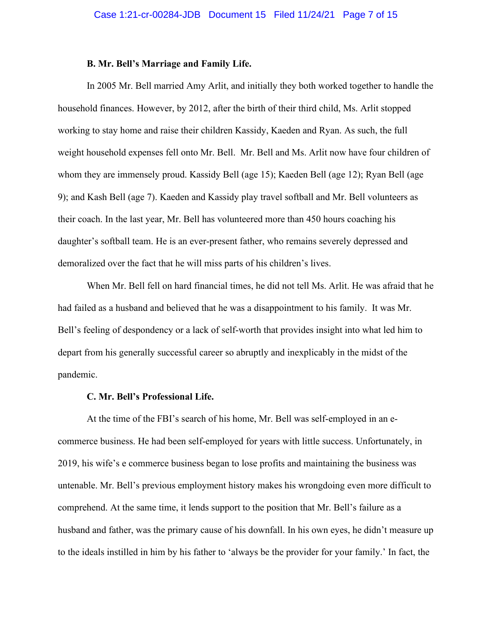#### **B. Mr. Bell's Marriage and Family Life.**

In 2005 Mr. Bell married Amy Arlit, and initially they both worked together to handle the household finances. However, by 2012, after the birth of their third child, Ms. Arlit stopped working to stay home and raise their children Kassidy, Kaeden and Ryan. As such, the full weight household expenses fell onto Mr. Bell. Mr. Bell and Ms. Arlit now have four children of whom they are immensely proud. Kassidy Bell (age 15); Kaeden Bell (age 12); Ryan Bell (age 9); and Kash Bell (age 7). Kaeden and Kassidy play travel softball and Mr. Bell volunteers as their coach. In the last year, Mr. Bell has volunteered more than 450 hours coaching his daughter's softball team. He is an ever-present father, who remains severely depressed and demoralized over the fact that he will miss parts of his children's lives.

When Mr. Bell fell on hard financial times, he did not tell Ms. Arlit. He was afraid that he had failed as a husband and believed that he was a disappointment to his family. It was Mr. Bell's feeling of despondency or a lack of self-worth that provides insight into what led him to depart from his generally successful career so abruptly and inexplicably in the midst of the pandemic.

#### **C. Mr. Bell's Professional Life.**

At the time of the FBI's search of his home, Mr. Bell was self-employed in an ecommerce business. He had been self-employed for years with little success. Unfortunately, in 2019, his wife's e commerce business began to lose profits and maintaining the business was untenable. Mr. Bell's previous employment history makes his wrongdoing even more difficult to comprehend. At the same time, it lends support to the position that Mr. Bell's failure as a husband and father, was the primary cause of his downfall. In his own eyes, he didn't measure up to the ideals instilled in him by his father to 'always be the provider for your family.' In fact, the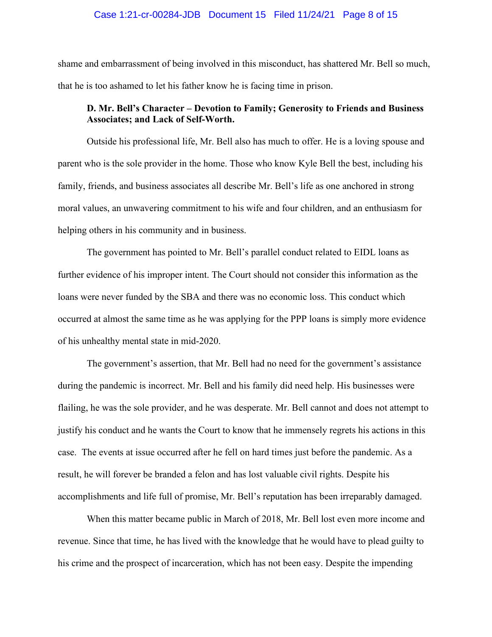#### Case 1:21-cr-00284-JDB Document 15 Filed 11/24/21 Page 8 of 15

shame and embarrassment of being involved in this misconduct, has shattered Mr. Bell so much, that he is too ashamed to let his father know he is facing time in prison.

# **D. Mr. Bell's Character – Devotion to Family; Generosity to Friends and Business Associates; and Lack of Self-Worth.**

Outside his professional life, Mr. Bell also has much to offer. He is a loving spouse and parent who is the sole provider in the home. Those who know Kyle Bell the best, including his family, friends, and business associates all describe Mr. Bell's life as one anchored in strong moral values, an unwavering commitment to his wife and four children, and an enthusiasm for helping others in his community and in business.

The government has pointed to Mr. Bell's parallel conduct related to EIDL loans as further evidence of his improper intent. The Court should not consider this information as the loans were never funded by the SBA and there was no economic loss. This conduct which occurred at almost the same time as he was applying for the PPP loans is simply more evidence of his unhealthy mental state in mid-2020.

The government's assertion, that Mr. Bell had no need for the government's assistance during the pandemic is incorrect. Mr. Bell and his family did need help. His businesses were flailing, he was the sole provider, and he was desperate. Mr. Bell cannot and does not attempt to justify his conduct and he wants the Court to know that he immensely regrets his actions in this case. The events at issue occurred after he fell on hard times just before the pandemic. As a result, he will forever be branded a felon and has lost valuable civil rights. Despite his accomplishments and life full of promise, Mr. Bell's reputation has been irreparably damaged.

When this matter became public in March of 2018, Mr. Bell lost even more income and revenue. Since that time, he has lived with the knowledge that he would have to plead guilty to his crime and the prospect of incarceration, which has not been easy. Despite the impending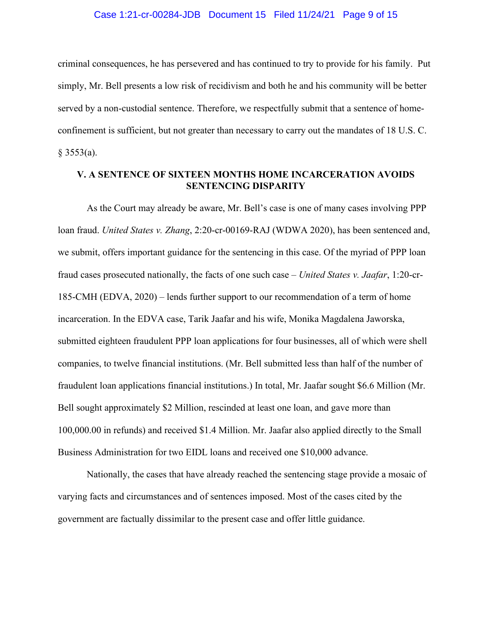#### Case 1:21-cr-00284-JDB Document 15 Filed 11/24/21 Page 9 of 15

criminal consequences, he has persevered and has continued to try to provide for his family. Put simply, Mr. Bell presents a low risk of recidivism and both he and his community will be better served by a non-custodial sentence. Therefore, we respectfully submit that a sentence of homeconfinement is sufficient, but not greater than necessary to carry out the mandates of 18 U.S. C.  $§$  3553(a).

## **V. A SENTENCE OF SIXTEEN MONTHS HOME INCARCERATION AVOIDS SENTENCING DISPARITY**

As the Court may already be aware, Mr. Bell's case is one of many cases involving PPP loan fraud. *United States v. Zhang*, 2:20-cr-00169-RAJ (WDWA 2020), has been sentenced and, we submit, offers important guidance for the sentencing in this case. Of the myriad of PPP loan fraud cases prosecuted nationally, the facts of one such case – *United States v. Jaafar*, 1:20-cr-185-CMH (EDVA, 2020) – lends further support to our recommendation of a term of home incarceration. In the EDVA case, Tarik Jaafar and his wife, Monika Magdalena Jaworska, submitted eighteen fraudulent PPP loan applications for four businesses, all of which were shell companies, to twelve financial institutions. (Mr. Bell submitted less than half of the number of fraudulent loan applications financial institutions.) In total, Mr. Jaafar sought \$6.6 Million (Mr. Bell sought approximately \$2 Million, rescinded at least one loan, and gave more than 100,000.00 in refunds) and received \$1.4 Million. Mr. Jaafar also applied directly to the Small Business Administration for two EIDL loans and received one \$10,000 advance.

Nationally, the cases that have already reached the sentencing stage provide a mosaic of varying facts and circumstances and of sentences imposed. Most of the cases cited by the government are factually dissimilar to the present case and offer little guidance.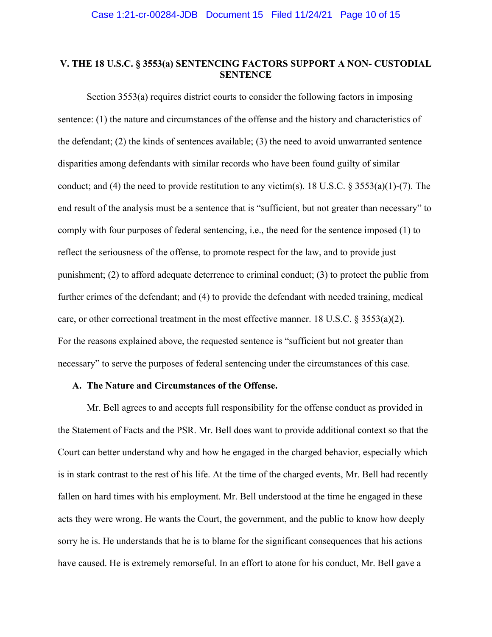# **V. THE 18 U.S.C. § 3553(a) SENTENCING FACTORS SUPPORT A NON- CUSTODIAL SENTENCE**

Section 3553(a) requires district courts to consider the following factors in imposing sentence: (1) the nature and circumstances of the offense and the history and characteristics of the defendant; (2) the kinds of sentences available; (3) the need to avoid unwarranted sentence disparities among defendants with similar records who have been found guilty of similar conduct; and (4) the need to provide restitution to any victim(s). 18 U.S.C. § 3553(a)(1)-(7). The end result of the analysis must be a sentence that is "sufficient, but not greater than necessary" to comply with four purposes of federal sentencing, i.e., the need for the sentence imposed (1) to reflect the seriousness of the offense, to promote respect for the law, and to provide just punishment; (2) to afford adequate deterrence to criminal conduct; (3) to protect the public from further crimes of the defendant; and (4) to provide the defendant with needed training, medical care, or other correctional treatment in the most effective manner. 18 U.S.C.  $\S 3553(a)(2)$ . For the reasons explained above, the requested sentence is "sufficient but not greater than necessary" to serve the purposes of federal sentencing under the circumstances of this case.

#### **A. The Nature and Circumstances of the Offense.**

Mr. Bell agrees to and accepts full responsibility for the offense conduct as provided in the Statement of Facts and the PSR. Mr. Bell does want to provide additional context so that the Court can better understand why and how he engaged in the charged behavior, especially which is in stark contrast to the rest of his life. At the time of the charged events, Mr. Bell had recently fallen on hard times with his employment. Mr. Bell understood at the time he engaged in these acts they were wrong. He wants the Court, the government, and the public to know how deeply sorry he is. He understands that he is to blame for the significant consequences that his actions have caused. He is extremely remorseful. In an effort to atone for his conduct, Mr. Bell gave a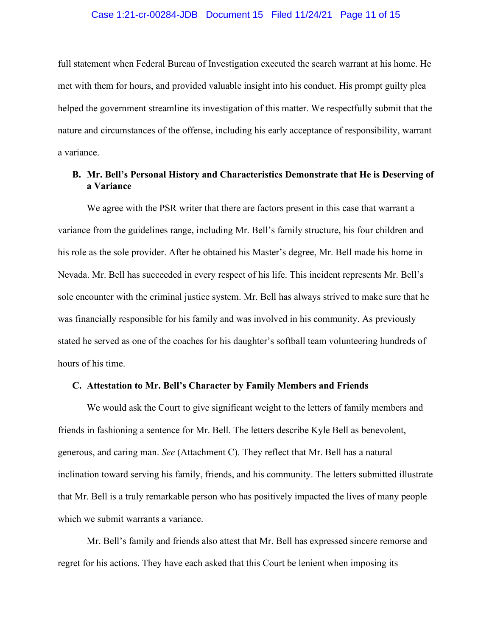#### Case 1:21-cr-00284-JDB Document 15 Filed 11/24/21 Page 11 of 15

full statement when Federal Bureau of Investigation executed the search warrant at his home. He met with them for hours, and provided valuable insight into his conduct. His prompt guilty plea helped the government streamline its investigation of this matter. We respectfully submit that the nature and circumstances of the offense, including his early acceptance of responsibility, warrant a variance.

# **B. Mr. Bell's Personal History and Characteristics Demonstrate that He is Deserving of a Variance**

We agree with the PSR writer that there are factors present in this case that warrant a variance from the guidelines range, including Mr. Bell's family structure, his four children and his role as the sole provider. After he obtained his Master's degree, Mr. Bell made his home in Nevada. Mr. Bell has succeeded in every respect of his life. This incident represents Mr. Bell's sole encounter with the criminal justice system. Mr. Bell has always strived to make sure that he was financially responsible for his family and was involved in his community. As previously stated he served as one of the coaches for his daughter's softball team volunteering hundreds of hours of his time.

## **C. Attestation to Mr. Bell's Character by Family Members and Friends**

We would ask the Court to give significant weight to the letters of family members and friends in fashioning a sentence for Mr. Bell. The letters describe Kyle Bell as benevolent, generous, and caring man. *See* (Attachment C). They reflect that Mr. Bell has a natural inclination toward serving his family, friends, and his community. The letters submitted illustrate that Mr. Bell is a truly remarkable person who has positively impacted the lives of many people which we submit warrants a variance.

Mr. Bell's family and friends also attest that Mr. Bell has expressed sincere remorse and regret for his actions. They have each asked that this Court be lenient when imposing its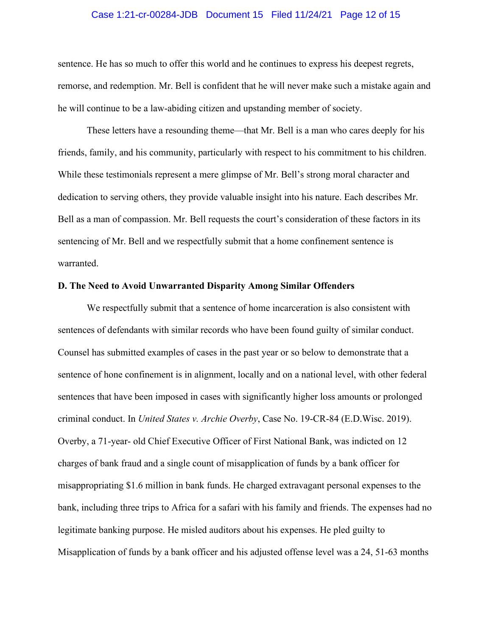#### Case 1:21-cr-00284-JDB Document 15 Filed 11/24/21 Page 12 of 15

sentence. He has so much to offer this world and he continues to express his deepest regrets, remorse, and redemption. Mr. Bell is confident that he will never make such a mistake again and he will continue to be a law-abiding citizen and upstanding member of society.

These letters have a resounding theme—that Mr. Bell is a man who cares deeply for his friends, family, and his community, particularly with respect to his commitment to his children. While these testimonials represent a mere glimpse of Mr. Bell's strong moral character and dedication to serving others, they provide valuable insight into his nature. Each describes Mr. Bell as a man of compassion. Mr. Bell requests the court's consideration of these factors in its sentencing of Mr. Bell and we respectfully submit that a home confinement sentence is warranted.

#### **D. The Need to Avoid Unwarranted Disparity Among Similar Offenders**

We respectfully submit that a sentence of home incarceration is also consistent with sentences of defendants with similar records who have been found guilty of similar conduct. Counsel has submitted examples of cases in the past year or so below to demonstrate that a sentence of hone confinement is in alignment, locally and on a national level, with other federal sentences that have been imposed in cases with significantly higher loss amounts or prolonged criminal conduct. In *United States v. Archie Overby*, Case No. 19-CR-84 (E.D.Wisc. 2019). Overby, a 71-year- old Chief Executive Officer of First National Bank, was indicted on 12 charges of bank fraud and a single count of misapplication of funds by a bank officer for misappropriating \$1.6 million in bank funds. He charged extravagant personal expenses to the bank, including three trips to Africa for a safari with his family and friends. The expenses had no legitimate banking purpose. He misled auditors about his expenses. He pled guilty to Misapplication of funds by a bank officer and his adjusted offense level was a 24, 51-63 months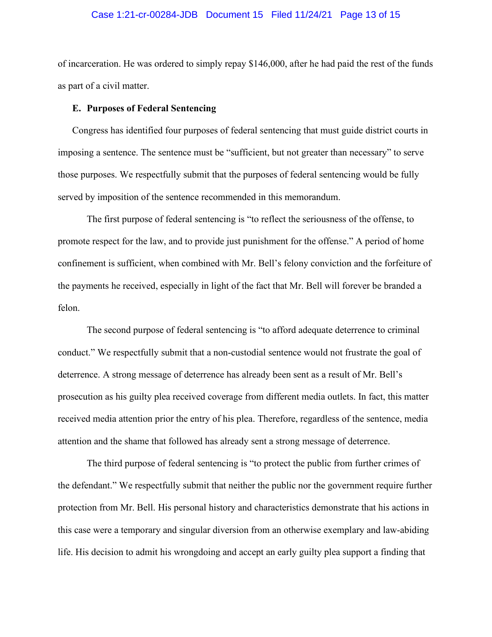#### Case 1:21-cr-00284-JDB Document 15 Filed 11/24/21 Page 13 of 15

of incarceration. He was ordered to simply repay \$146,000, after he had paid the rest of the funds as part of a civil matter.

#### **E. Purposes of Federal Sentencing**

Congress has identified four purposes of federal sentencing that must guide district courts in imposing a sentence. The sentence must be "sufficient, but not greater than necessary" to serve those purposes. We respectfully submit that the purposes of federal sentencing would be fully served by imposition of the sentence recommended in this memorandum.

The first purpose of federal sentencing is "to reflect the seriousness of the offense, to promote respect for the law, and to provide just punishment for the offense." A period of home confinement is sufficient, when combined with Mr. Bell's felony conviction and the forfeiture of the payments he received, especially in light of the fact that Mr. Bell will forever be branded a felon.

The second purpose of federal sentencing is "to afford adequate deterrence to criminal conduct." We respectfully submit that a non-custodial sentence would not frustrate the goal of deterrence. A strong message of deterrence has already been sent as a result of Mr. Bell's prosecution as his guilty plea received coverage from different media outlets. In fact, this matter received media attention prior the entry of his plea. Therefore, regardless of the sentence, media attention and the shame that followed has already sent a strong message of deterrence.

The third purpose of federal sentencing is "to protect the public from further crimes of the defendant." We respectfully submit that neither the public nor the government require further protection from Mr. Bell. His personal history and characteristics demonstrate that his actions in this case were a temporary and singular diversion from an otherwise exemplary and law-abiding life. His decision to admit his wrongdoing and accept an early guilty plea support a finding that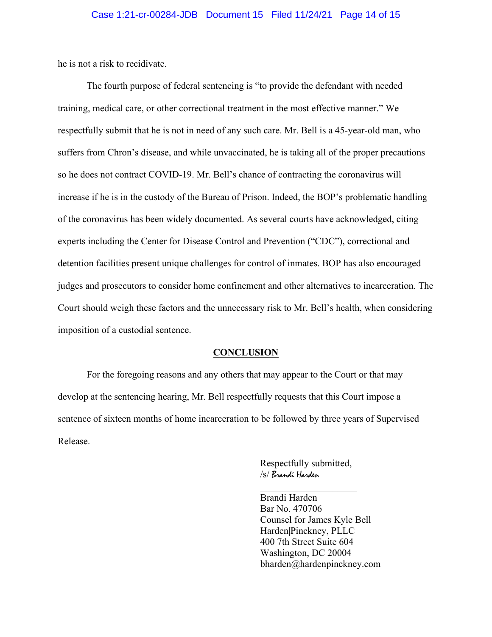he is not a risk to recidivate.

The fourth purpose of federal sentencing is "to provide the defendant with needed training, medical care, or other correctional treatment in the most effective manner." We respectfully submit that he is not in need of any such care. Mr. Bell is a 45-year-old man, who suffers from Chron's disease, and while unvaccinated, he is taking all of the proper precautions so he does not contract COVID-19. Mr. Bell's chance of contracting the coronavirus will increase if he is in the custody of the Bureau of Prison. Indeed, the BOP's problematic handling of the coronavirus has been widely documented. As several courts have acknowledged, citing experts including the Center for Disease Control and Prevention ("CDC"), correctional and detention facilities present unique challenges for control of inmates. BOP has also encouraged judges and prosecutors to consider home confinement and other alternatives to incarceration. The Court should weigh these factors and the unnecessary risk to Mr. Bell's health, when considering imposition of a custodial sentence.

#### **CONCLUSION**

For the foregoing reasons and any others that may appear to the Court or that may develop at the sentencing hearing, Mr. Bell respectfully requests that this Court impose a sentence of sixteen months of home incarceration to be followed by three years of Supervised Release.

> Respectfully submitted, /s/ Brandi Harden

Brandi Harden Bar No. 470706 Counsel for James Kyle Bell Harden|Pinckney, PLLC 400 7th Street Suite 604 Washington, DC 20004 bharden@hardenpinckney.com